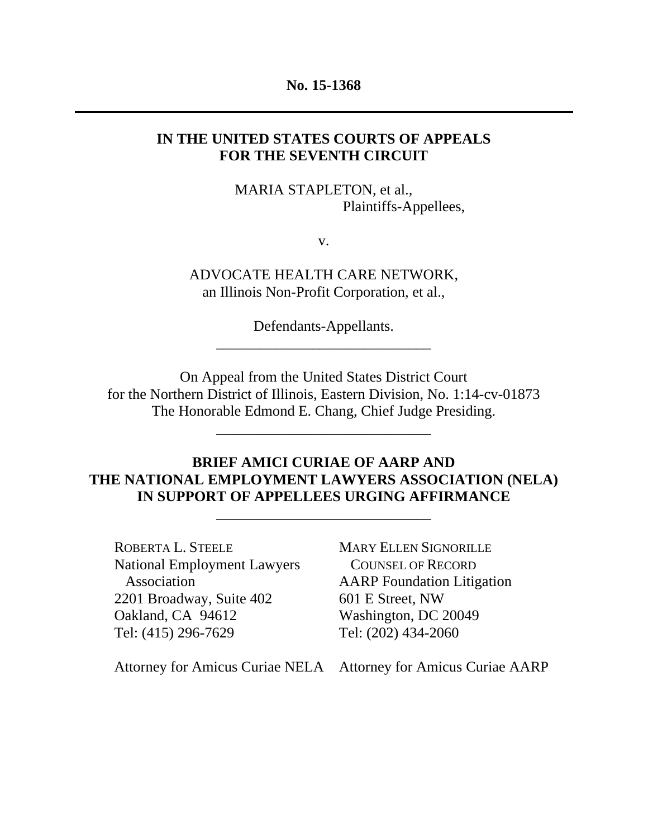#### **No. 15-1368**

## **IN THE UNITED STATES COURTS OF APPEALS FOR THE SEVENTH CIRCUIT**

MARIA STAPLETON, et al., Plaintiffs-Appellees,

v.

ADVOCATE HEALTH CARE NETWORK, an Illinois Non-Profit Corporation, et al.,

> Defendants-Appellants. \_\_\_\_\_\_\_\_\_\_\_\_\_\_\_\_\_\_\_\_\_\_\_\_\_\_\_\_\_

On Appeal from the United States District Court for the Northern District of Illinois, Eastern Division, No. 1:14-cv-01873 The Honorable Edmond E. Chang, Chief Judge Presiding.

\_\_\_\_\_\_\_\_\_\_\_\_\_\_\_\_\_\_\_\_\_\_\_\_\_\_\_\_\_

## **BRIEF AMICI CURIAE OF AARP AND THE NATIONAL EMPLOYMENT LAWYERS ASSOCIATION (NELA) IN SUPPORT OF APPELLEES URGING AFFIRMANCE**

\_\_\_\_\_\_\_\_\_\_\_\_\_\_\_\_\_\_\_\_\_\_\_\_\_\_\_\_\_

ROBERTA L. STEELE National Employment Lawyers Association 2201 Broadway, Suite 402 Oakland, CA 94612 Tel: (415) 296-7629

MARY ELLEN SIGNORILLE COUNSEL OF RECORD AARP Foundation Litigation 601 E Street, NW Washington, DC 20049 Tel: (202) 434-2060

Attorney for Amicus Curiae NELA Attorney for Amicus Curiae AARP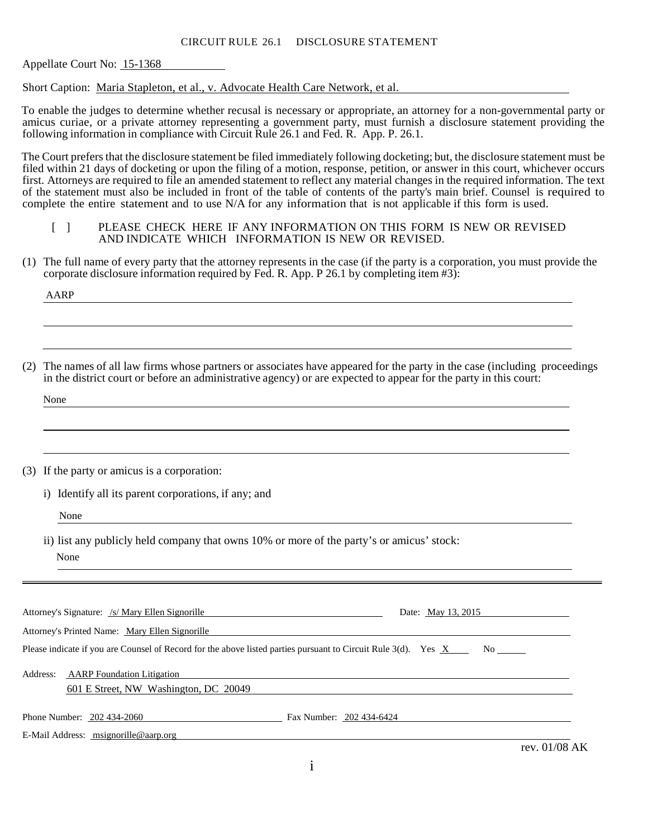#### CIRCUIT RULE 26.1 DISCLOSURE STATEMENT

Appellate Court No: 15-1368

Short Caption: Maria Stapleton, et al., v. Advocate Health Care Network, et al.

To enable the judges to determine whether recusal is necessary or appropriate, an attorney for a non-governmental party or amicus curiae, or a private attorney representing a government party, must furnish a disclosure statement providing the following information in compliance with Circuit Rule 26.1 and Fed. R. App. P. 26.1.

The Court prefers that the disclosure statement be filed immediately following docketing; but, the disclosure statement must be filed within 21 days of docketing or upon the filing of a motion, response, petition, or answer in this court, whichever occurs first. Attorneys are required to file an amended statement to reflect any material changes in the required information. The text of the statement must also be included in front of the table of contents of the party's main brief. Counsel is required to complete the entire statement and to use N/A for any information that is not applicable if this form is used.

#### [ ] PLEASE CHECK HERE IF ANY INFORMATION ON THIS FORM IS NEW OR REVISED AND INDICATE WHICH INFORMATION IS NEW OR REVISED.

(1) The full name of every party that the attorney represents in the case (if the party is a corporation, you must provide the corporate disclosure information required by Fed. R. App. P 26.1 by completing item #3):

AARP

(2) The names of all law firms whose partners or associates have appeared for the party in the case (including proceedings in the district court or before an administrative agency) or are expected to appear for the party in this court:

None

(3) If the party or amicus is a corporation:

i) Identify all its parent corporations, if any; and

None

ii) list any publicly held company that owns 10% or more of the party's or amicus' stock: None

| Attorney's Signature: /s/ Mary Ellen Signorille                                                                | Date: May 13, 2015       |
|----------------------------------------------------------------------------------------------------------------|--------------------------|
| Attorney's Printed Name: Mary Ellen Signorille                                                                 |                          |
| Please indicate if you are Counsel of Record for the above listed parties pursuant to Circuit Rule 3(d). Yes X |                          |
| <b>AARP</b> Foundation Litigation<br>Address:<br>601 E Street, NW Washington, DC 20049                         |                          |
| Phone Number: 202 434-2060                                                                                     | Fax Number: 202 434-6424 |
| E-Mail Address: msignorille@aarp.org                                                                           | $0.1$ $100$ $1.77$       |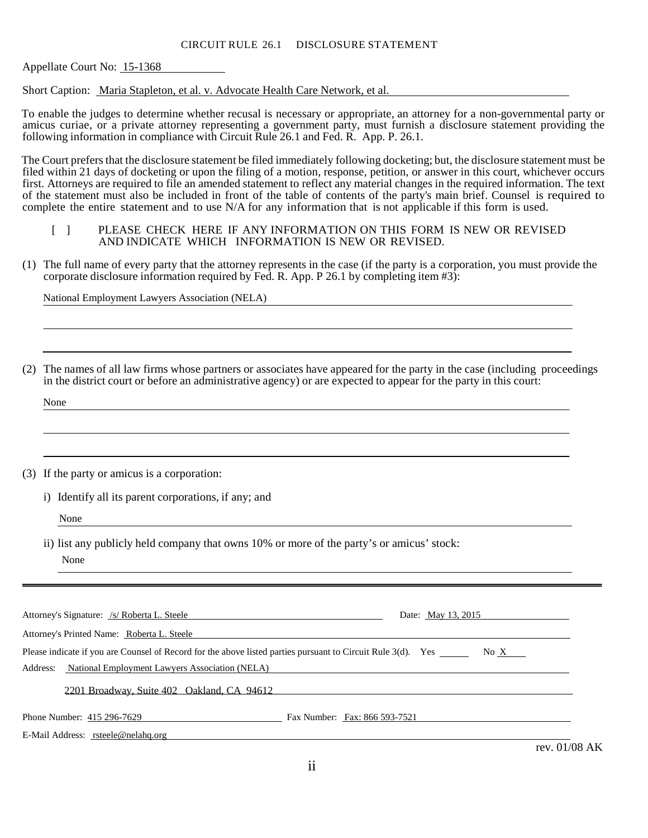#### CIRCUIT RULE 26.1 DISCLOSURE STATEMENT

Appellate Court No: 15-1368

Short Caption: Maria Stapleton, et al. v. Advocate Health Care Network, et al.

To enable the judges to determine whether recusal is necessary or appropriate, an attorney for a non-governmental party or amicus curiae, or a private attorney representing a government party, must furnish a disclosure statement providing the following information in compliance with Circuit Rule 26.1 and Fed. R. App. P. 26.1.

The Court prefers that the disclosure statement be filed immediately following docketing; but, the disclosure statement must be filed within 21 days of docketing or upon the filing of a motion, response, petition, or answer in this court, whichever occurs first. Attorneys are required to file an amended statement to reflect any material changes in the required information. The text of the statement must also be included in front of the table of contents of the party's main brief. Counsel is required to complete the entire statement and to use N/A for any information that is not applicable if this form is used.

- [ ] PLEASE CHECK HERE IF ANY INFORMATION ON THIS FORM IS NEW OR REVISED AND INDICATE WHICH INFORMATION IS NEW OR REVISED.
- (1) The full name of every party that the attorney represents in the case (if the party is a corporation, you must provide the corporate disclosure information required by Fed. R. App. P 26.1 by completing item #3):

National Employment Lawyers Association (NELA)

(2) The names of all law firms whose partners or associates have appeared for the party in the case (including proceedings in the district court or before an administrative agency) or are expected to appear for the party in this court:

None

(3) If the party or amicus is a corporation:

i) Identify all its parent corporations, if any; and

None

ii) list any publicly held company that owns 10% or more of the party's or amicus' stock: None

| Attorney's Signature: /s/ Roberta L. Steele                                                                  | Date: May 13, 2015            |
|--------------------------------------------------------------------------------------------------------------|-------------------------------|
| Attorney's Printed Name: Roberta L. Steele                                                                   |                               |
| Please indicate if you are Counsel of Record for the above listed parties pursuant to Circuit Rule 3(d). Yes | No $X$                        |
| National Employment Lawyers Association (NELA)<br>Address:                                                   |                               |
| 2201 Broadway, Suite 402 Oakland, CA 94612                                                                   |                               |
| Phone Number: 415 296-7629                                                                                   | Fax Number: Fax: 866 593-7521 |
| E-Mail Address: rsteele@nelahq.org                                                                           |                               |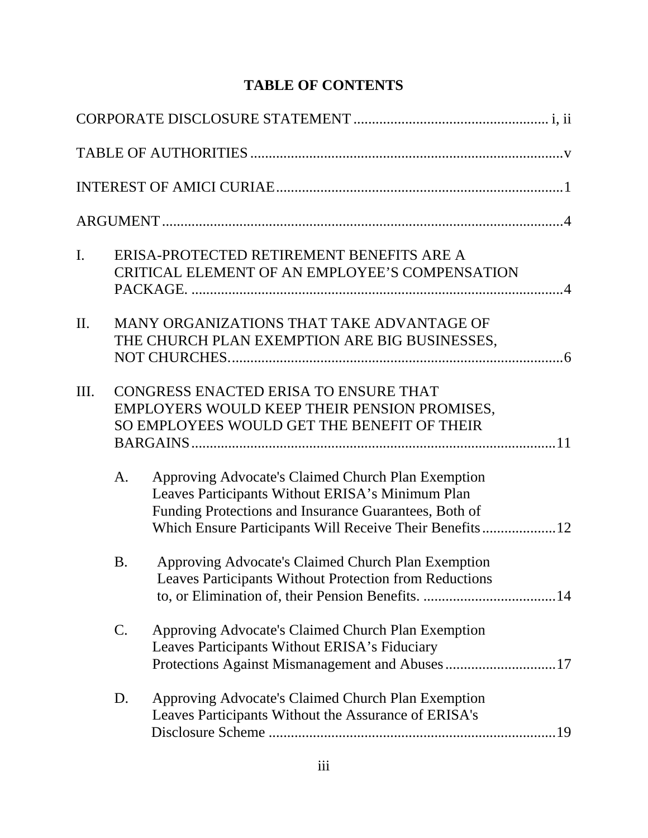# **TABLE OF CONTENTS**

| $\mathbf{I}$ . |           | ERISA-PROTECTED RETIREMENT BENEFITS ARE A<br>CRITICAL ELEMENT OF AN EMPLOYEE'S COMPENSATION                                                                                                                                |
|----------------|-----------|----------------------------------------------------------------------------------------------------------------------------------------------------------------------------------------------------------------------------|
| $\Pi$ .        |           | MANY ORGANIZATIONS THAT TAKE ADVANTAGE OF<br>THE CHURCH PLAN EXEMPTION ARE BIG BUSINESSES,                                                                                                                                 |
| III.           |           | CONGRESS ENACTED ERISA TO ENSURE THAT<br>EMPLOYERS WOULD KEEP THEIR PENSION PROMISES,<br>SO EMPLOYEES WOULD GET THE BENEFIT OF THEIR                                                                                       |
|                | A.        | Approving Advocate's Claimed Church Plan Exemption<br>Leaves Participants Without ERISA's Minimum Plan<br>Funding Protections and Insurance Guarantees, Both of<br>Which Ensure Participants Will Receive Their Benefits12 |
|                | <b>B.</b> | Approving Advocate's Claimed Church Plan Exemption<br>Leaves Participants Without Protection from Reductions                                                                                                               |
|                | C.        | Approving Advocate's Claimed Church Plan Exemption<br>Leaves Participants Without ERISA's Fiduciary<br>Protections Against Mismanagement and Abuses17                                                                      |
|                | D.        | Approving Advocate's Claimed Church Plan Exemption<br>Leaves Participants Without the Assurance of ERISA's                                                                                                                 |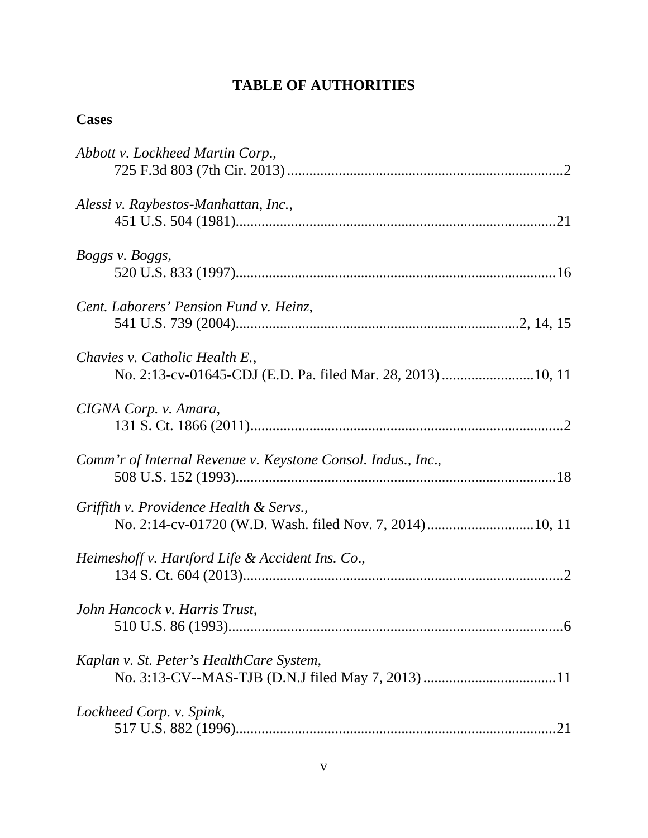# **TABLE OF AUTHORITIES**

# **Cases**

| Abbott v. Lockheed Martin Corp.,                             |
|--------------------------------------------------------------|
| Alessi v. Raybestos-Manhattan, Inc.,                         |
| Boggs v. Boggs,                                              |
| Cent. Laborers' Pension Fund v. Heinz,                       |
| Chavies v. Catholic Health E.,                               |
| CIGNA Corp. v. Amara,                                        |
| Comm'r of Internal Revenue v. Keystone Consol. Indus., Inc., |
| Griffith v. Providence Health & Servs.,                      |
| Heimeshoff v. Hartford Life & Accident Ins. Co.,             |
| John Hancock v. Harris Trust,                                |
| Kaplan v. St. Peter's HealthCare System,                     |
| Lockheed Corp. v. Spink,                                     |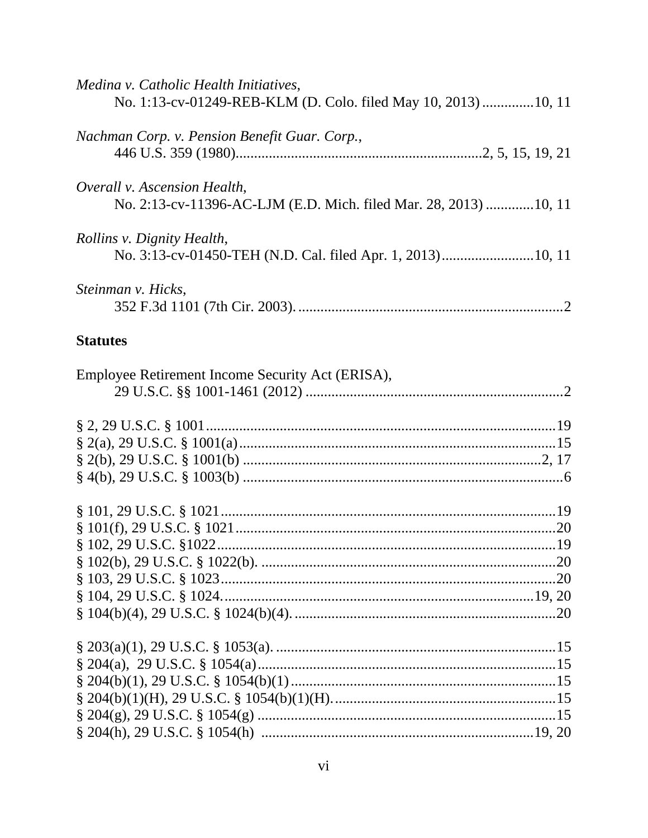| Medina v. Catholic Health Initiatives,<br>No. 1:13-cv-01249-REB-KLM (D. Colo. filed May 10, 2013) 10, 11 |
|----------------------------------------------------------------------------------------------------------|
| Nachman Corp. v. Pension Benefit Guar. Corp.,                                                            |
| Overall v. Ascension Health,<br>No. 2:13-cv-11396-AC-LJM (E.D. Mich. filed Mar. 28, 2013) 10, 11         |
| Rollins v. Dignity Health,                                                                               |
| Steinman v. Hicks,                                                                                       |
| <b>Statutes</b>                                                                                          |
| Employee Retirement Income Security Act (ERISA),                                                         |
|                                                                                                          |
|                                                                                                          |
|                                                                                                          |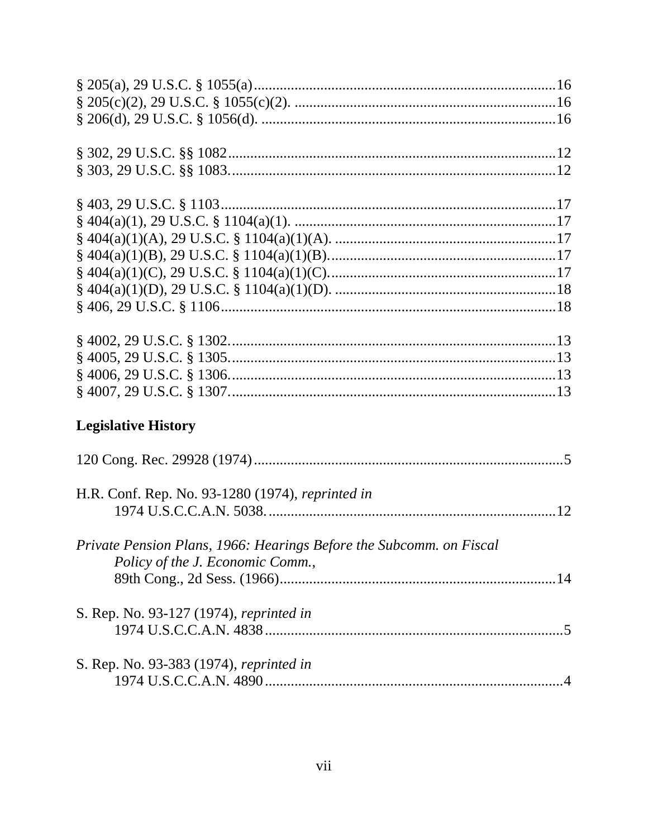| <b>Legislative History</b>                                          |  |
|---------------------------------------------------------------------|--|
|                                                                     |  |
| H.R. Conf. Rep. No. 93-1280 (1974), reprinted in                    |  |
|                                                                     |  |
|                                                                     |  |
| Private Pension Plans, 1966: Hearings Before the Subcomm. on Fiscal |  |
| Policy of the J. Economic Comm.,                                    |  |
|                                                                     |  |
|                                                                     |  |
| S. Rep. No. 93-127 (1974), reprinted in                             |  |
|                                                                     |  |
| S. Rep. No. 93-383 (1974), reprinted in                             |  |
|                                                                     |  |
|                                                                     |  |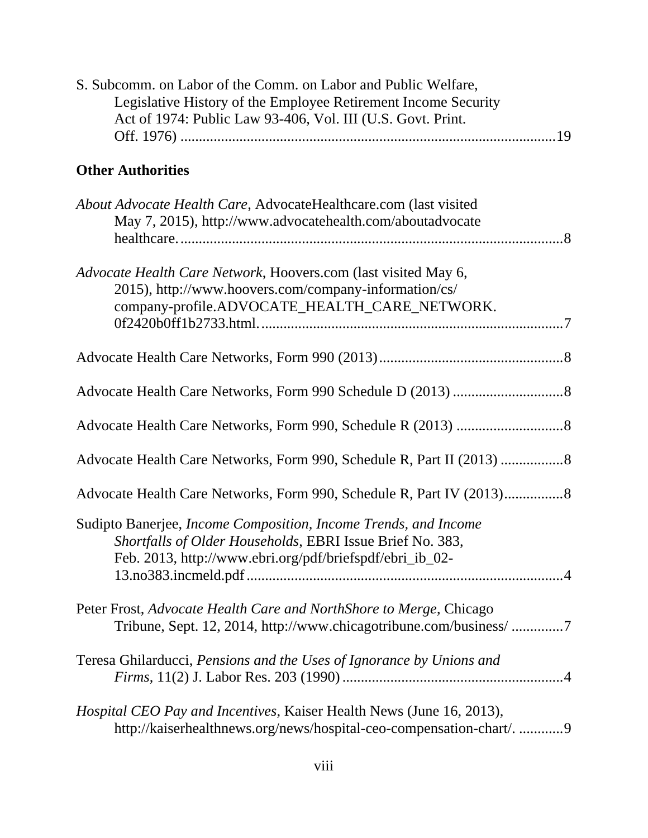| S. Subcomm. on Labor of the Comm. on Labor and Public Welfare,<br>Legislative History of the Employee Retirement Income Security<br>Act of 1974: Public Law 93-406, Vol. III (U.S. Govt. Print. |
|-------------------------------------------------------------------------------------------------------------------------------------------------------------------------------------------------|
| <b>Other Authorities</b>                                                                                                                                                                        |
| About Advocate Health Care, AdvocateHealthcare.com (last visited<br>May 7, 2015), http://www.advocatehealth.com/aboutadvocate                                                                   |
| Advocate Health Care Network, Hoovers.com (last visited May 6,<br>2015), http://www.hoovers.com/company-information/cs/<br>company-profile.ADVOCATE_HEALTH_CARE_NETWORK.                        |
|                                                                                                                                                                                                 |
|                                                                                                                                                                                                 |
|                                                                                                                                                                                                 |
|                                                                                                                                                                                                 |
|                                                                                                                                                                                                 |
| Sudipto Banerjee, Income Composition, Income Trends, and Income<br>Shortfalls of Older Households, EBRI Issue Brief No. 383,<br>Feb. 2013, http://www.ebri.org/pdf/briefspdf/ebri_ib_02-        |
| Peter Frost, Advocate Health Care and NorthShore to Merge, Chicago<br>Tribune, Sept. 12, 2014, http://www.chicagotribune.com/business/7                                                         |
| Teresa Ghilarducci, Pensions and the Uses of Ignorance by Unions and                                                                                                                            |
| <i>Hospital CEO Pay and Incentives, Kaiser Health News (June 16, 2013),</i><br>http://kaiserhealthnews.org/news/hospital-ceo-compensation-chart/. 9                                             |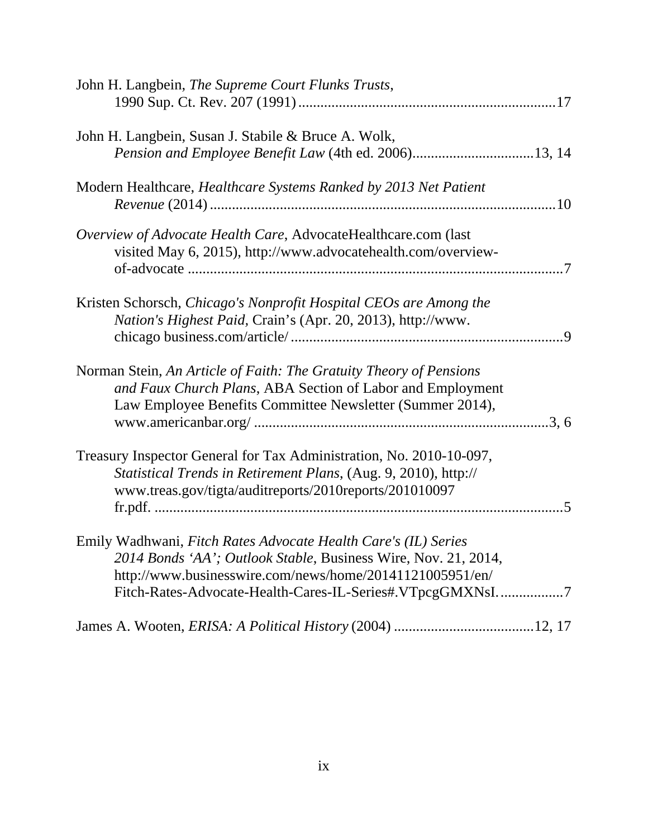| John H. Langbein, The Supreme Court Flunks Trusts,                      |
|-------------------------------------------------------------------------|
|                                                                         |
|                                                                         |
| John H. Langbein, Susan J. Stabile & Bruce A. Wolk,                     |
|                                                                         |
|                                                                         |
| Modern Healthcare, <i>Healthcare Systems Ranked by 2013 Net Patient</i> |
|                                                                         |
|                                                                         |
| Overview of Advocate Health Care, AdvocateHealthcare.com (last          |
| visited May 6, 2015), http://www.advocatehealth.com/overview-           |
|                                                                         |
|                                                                         |
| Kristen Schorsch, Chicago's Nonprofit Hospital CEOs are Among the       |
| Nation's Highest Paid, Crain's (Apr. 20, 2013), http://www.             |
|                                                                         |
|                                                                         |
|                                                                         |
| Norman Stein, An Article of Faith: The Gratuity Theory of Pensions      |
| and Faux Church Plans, ABA Section of Labor and Employment              |
| Law Employee Benefits Committee Newsletter (Summer 2014),               |
|                                                                         |
|                                                                         |
| Treasury Inspector General for Tax Administration, No. 2010-10-097,     |
| Statistical Trends in Retirement Plans, (Aug. 9, 2010), http://         |
| www.treas.gov/tigta/auditreports/2010reports/201010097                  |
|                                                                         |
|                                                                         |
| Emily Wadhwani, Fitch Rates Advocate Health Care's (IL) Series          |
| 2014 Bonds 'AA'; Outlook Stable, Business Wire, Nov. 21, 2014,          |
| http://www.businesswire.com/news/home/20141121005951/en/                |
| Fitch-Rates-Advocate-Health-Cares-IL-Series#.VTpcgGMXNsI7               |
|                                                                         |
|                                                                         |
|                                                                         |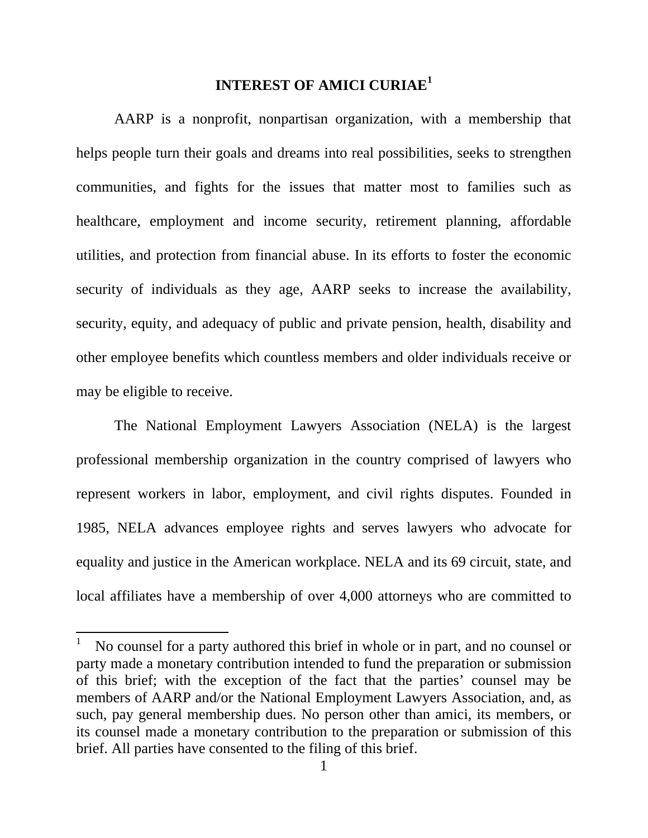## **INTEREST OF AMICI CURIAE<sup>1</sup>**

AARP is a nonprofit, nonpartisan organization, with a membership that helps people turn their goals and dreams into real possibilities, seeks to strengthen communities, and fights for the issues that matter most to families such as healthcare, employment and income security, retirement planning, affordable utilities, and protection from financial abuse. In its efforts to foster the economic security of individuals as they age, AARP seeks to increase the availability, security, equity, and adequacy of public and private pension, health, disability and other employee benefits which countless members and older individuals receive or may be eligible to receive.

 The National Employment Lawyers Association (NELA) is the largest professional membership organization in the country comprised of lawyers who represent workers in labor, employment, and civil rights disputes. Founded in 1985, NELA advances employee rights and serves lawyers who advocate for equality and justice in the American workplace. NELA and its 69 circuit, state, and local affiliates have a membership of over 4,000 attorneys who are committed to

 $\overline{a}$ 

<sup>1</sup> No counsel for a party authored this brief in whole or in part, and no counsel or party made a monetary contribution intended to fund the preparation or submission of this brief; with the exception of the fact that the parties' counsel may be members of AARP and/or the National Employment Lawyers Association, and, as such, pay general membership dues. No person other than amici, its members, or its counsel made a monetary contribution to the preparation or submission of this brief. All parties have consented to the filing of this brief.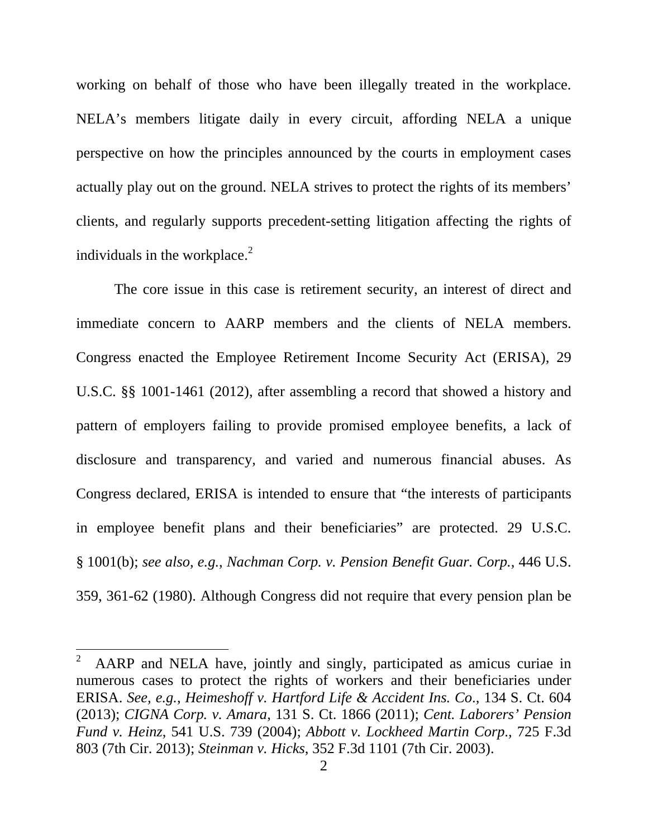working on behalf of those who have been illegally treated in the workplace. NELA's members litigate daily in every circuit, affording NELA a unique perspective on how the principles announced by the courts in employment cases actually play out on the ground. NELA strives to protect the rights of its members' clients, and regularly supports precedent-setting litigation affecting the rights of individuals in the workplace. $^{2}$ 

 The core issue in this case is retirement security, an interest of direct and immediate concern to AARP members and the clients of NELA members. Congress enacted the Employee Retirement Income Security Act (ERISA), 29 U.S.C. §§ 1001-1461 (2012), after assembling a record that showed a history and pattern of employers failing to provide promised employee benefits, a lack of disclosure and transparency, and varied and numerous financial abuses. As Congress declared, ERISA is intended to ensure that "the interests of participants in employee benefit plans and their beneficiaries" are protected. 29 U.S.C. § 1001(b); *see also*, *e.g.*, *Nachman Corp. v. Pension Benefit Guar. Corp.*, 446 U.S. 359, 361-62 (1980). Although Congress did not require that every pension plan be

 $\overline{a}$ 

<sup>2</sup> AARP and NELA have, jointly and singly, participated as amicus curiae in numerous cases to protect the rights of workers and their beneficiaries under ERISA. *See, e.g.*, *Heimeshoff v. Hartford Life & Accident Ins. Co*., 134 S. Ct. 604 (2013); *CIGNA Corp. v. Amara*, 131 S. Ct. 1866 (2011); *Cent. Laborers' Pension Fund v. Heinz*, 541 U.S. 739 (2004); *Abbott v. Lockheed Martin Corp*., 725 F.3d 803 (7th Cir. 2013); *Steinman v. Hicks*, 352 F.3d 1101 (7th Cir. 2003).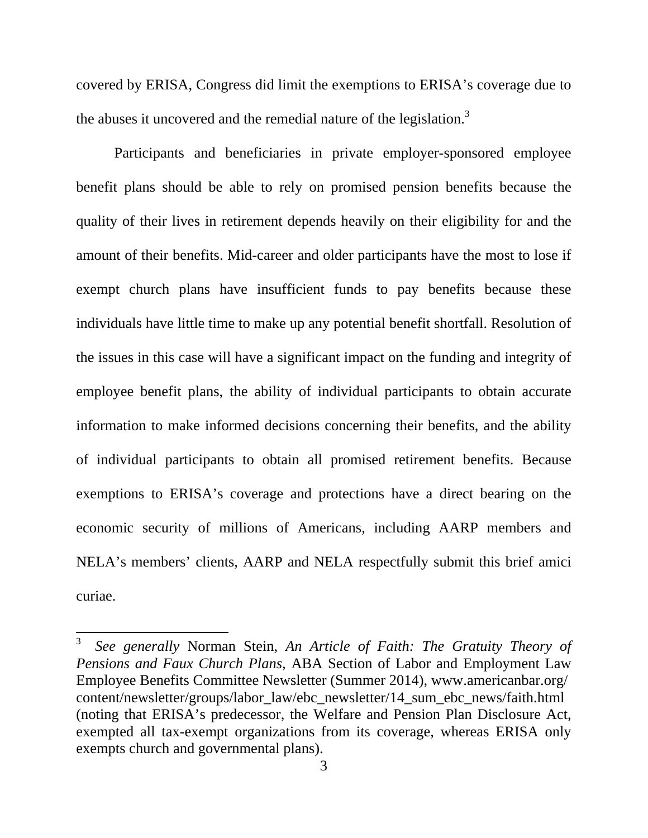covered by ERISA, Congress did limit the exemptions to ERISA's coverage due to the abuses it uncovered and the remedial nature of the legislation.<sup>3</sup>

Participants and beneficiaries in private employer-sponsored employee benefit plans should be able to rely on promised pension benefits because the quality of their lives in retirement depends heavily on their eligibility for and the amount of their benefits. Mid-career and older participants have the most to lose if exempt church plans have insufficient funds to pay benefits because these individuals have little time to make up any potential benefit shortfall. Resolution of the issues in this case will have a significant impact on the funding and integrity of employee benefit plans, the ability of individual participants to obtain accurate information to make informed decisions concerning their benefits, and the ability of individual participants to obtain all promised retirement benefits. Because exemptions to ERISA's coverage and protections have a direct bearing on the economic security of millions of Americans, including AARP members and NELA's members' clients, AARP and NELA respectfully submit this brief amici curiae.

 $\overline{a}$ 

<sup>3</sup> *See generally* Norman Stein, *An Article of Faith: The Gratuity Theory of Pensions and Faux Church Plans*, ABA Section of Labor and Employment Law Employee Benefits Committee Newsletter (Summer 2014), www.americanbar.org/ content/newsletter/groups/labor\_law/ebc\_newsletter/14\_sum\_ebc\_news/faith.html (noting that ERISA's predecessor, the Welfare and Pension Plan Disclosure Act, exempted all tax-exempt organizations from its coverage, whereas ERISA only exempts church and governmental plans).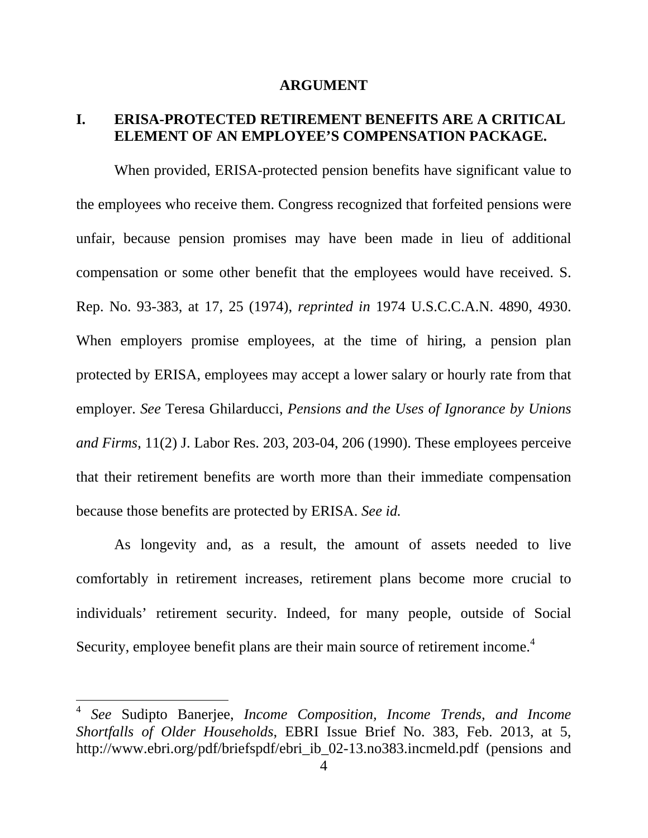#### **ARGUMENT**

## **I. ERISA-PROTECTED RETIREMENT BENEFITS ARE A CRITICAL ELEMENT OF AN EMPLOYEE'S COMPENSATION PACKAGE.**

 When provided, ERISA-protected pension benefits have significant value to the employees who receive them. Congress recognized that forfeited pensions were unfair, because pension promises may have been made in lieu of additional compensation or some other benefit that the employees would have received. S. Rep. No. 93-383, at 17, 25 (1974), *reprinted in* 1974 U.S.C.C.A.N. 4890, 4930. When employers promise employees, at the time of hiring, a pension plan protected by ERISA, employees may accept a lower salary or hourly rate from that employer. *See* Teresa Ghilarducci, *Pensions and the Uses of Ignorance by Unions and Firms*, 11(2) J. Labor Res. 203, 203-04, 206 (1990). These employees perceive that their retirement benefits are worth more than their immediate compensation because those benefits are protected by ERISA. *See id.*

 As longevity and, as a result, the amount of assets needed to live comfortably in retirement increases, retirement plans become more crucial to individuals' retirement security. Indeed, for many people, outside of Social Security, employee benefit plans are their main source of retirement income.<sup>4</sup>

<sup>4</sup> *See* Sudipto Banerjee, *Income Composition, Income Trends, and Income Shortfalls of Older Households*, EBRI Issue Brief No. 383, Feb. 2013, at 5, http://www.ebri.org/pdf/briefspdf/ebri\_ib\_02-13.no383.incmeld.pdf (pensions and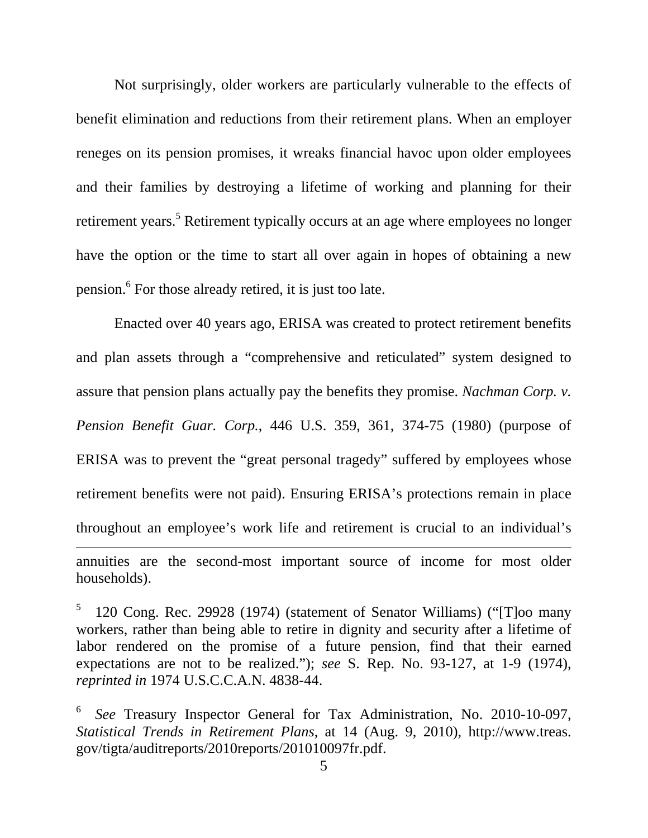Not surprisingly, older workers are particularly vulnerable to the effects of benefit elimination and reductions from their retirement plans. When an employer reneges on its pension promises, it wreaks financial havoc upon older employees and their families by destroying a lifetime of working and planning for their retirement years.<sup>5</sup> Retirement typically occurs at an age where employees no longer have the option or the time to start all over again in hopes of obtaining a new pension.<sup>6</sup> For those already retired, it is just too late.

 Enacted over 40 years ago, ERISA was created to protect retirement benefits and plan assets through a "comprehensive and reticulated" system designed to assure that pension plans actually pay the benefits they promise. *Nachman Corp. v. Pension Benefit Guar. Corp.*, 446 U.S. 359, 361, 374-75 (1980) (purpose of ERISA was to prevent the "great personal tragedy" suffered by employees whose retirement benefits were not paid). Ensuring ERISA's protections remain in place throughout an employee's work life and retirement is crucial to an individual's annuities are the second-most important source of income for most older households).

<sup>5</sup> 120 Cong. Rec. 29928 (1974) (statement of Senator Williams) ("[T]oo many workers, rather than being able to retire in dignity and security after a lifetime of labor rendered on the promise of a future pension, find that their earned expectations are not to be realized."); *see* S. Rep. No. 93-127, at 1-9 (1974), *reprinted in* 1974 U.S.C.C.A.N. 4838-44.

<sup>6</sup> *See* Treasury Inspector General for Tax Administration, No. 2010-10-097, *Statistical Trends in Retirement Plans*, at 14 (Aug. 9, 2010), http://www.treas. gov/tigta/auditreports/2010reports/201010097fr.pdf.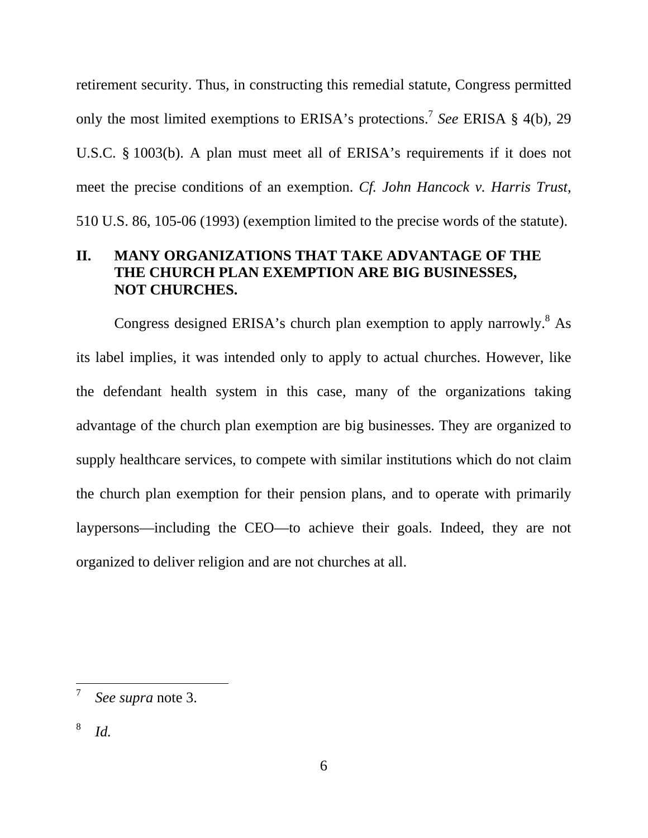retirement security. Thus, in constructing this remedial statute, Congress permitted only the most limited exemptions to ERISA's protections.7 *See* ERISA § 4(b), 29 U.S.C. § 1003(b). A plan must meet all of ERISA's requirements if it does not meet the precise conditions of an exemption. *Cf. John Hancock v. Harris Trust*, 510 U.S. 86, 105-06 (1993) (exemption limited to the precise words of the statute).

## **II. MANY ORGANIZATIONS THAT TAKE ADVANTAGE OF THE THE CHURCH PLAN EXEMPTION ARE BIG BUSINESSES, NOT CHURCHES.**

Congress designed ERISA's church plan exemption to apply narrowly.<sup>8</sup> As its label implies, it was intended only to apply to actual churches. However, like the defendant health system in this case, many of the organizations taking advantage of the church plan exemption are big businesses. They are organized to supply healthcare services, to compete with similar institutions which do not claim the church plan exemption for their pension plans, and to operate with primarily laypersons—including the CEO—to achieve their goals. Indeed, they are not organized to deliver religion and are not churches at all.

<sup>7</sup> *See supra* note 3.

<sup>8</sup> *Id.*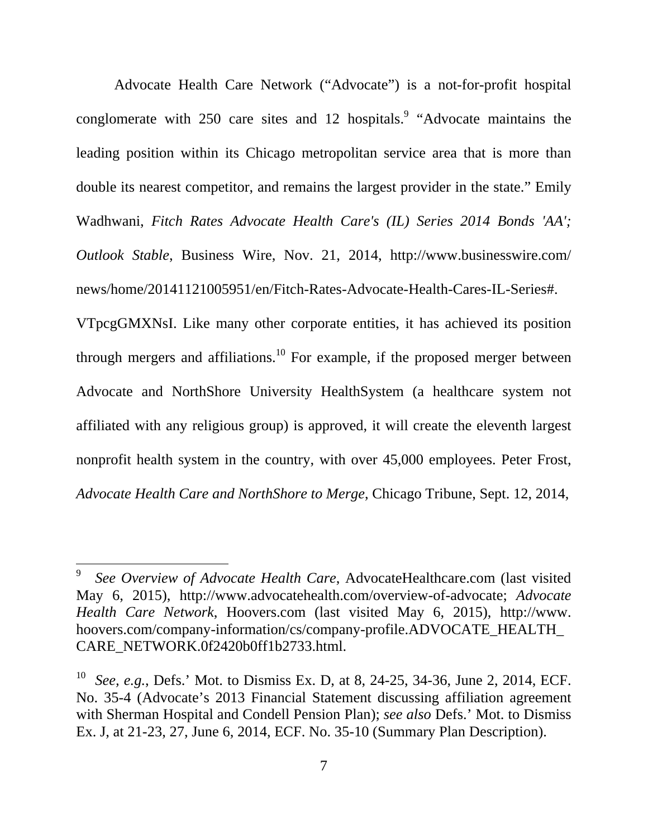Advocate Health Care Network ("Advocate") is a not-for-profit hospital conglomerate with 250 care sites and 12 hospitals. "Advocate maintains the leading position within its Chicago metropolitan service area that is more than double its nearest competitor, and remains the largest provider in the state." Emily Wadhwani, *Fitch Rates Advocate Health Care's (IL) Series 2014 Bonds 'AA'; Outlook Stable*, Business Wire, Nov. 21, 2014, http://www.businesswire.com/ news/home/20141121005951/en/Fitch-Rates-Advocate-Health-Cares-IL-Series#.

VTpcgGMXNsI. Like many other corporate entities, it has achieved its position through mergers and affiliations.<sup>10</sup> For example, if the proposed merger between Advocate and NorthShore University HealthSystem (a healthcare system not affiliated with any religious group) is approved, it will create the eleventh largest nonprofit health system in the country, with over 45,000 employees. Peter Frost, *Advocate Health Care and NorthShore to Merge*, Chicago Tribune, Sept. 12, 2014,

<sup>9</sup> *See Overview of Advocate Health Care*, AdvocateHealthcare.com (last visited May 6, 2015), http://www.advocatehealth.com/overview-of-advocate; *Advocate Health Care Network*, Hoovers.com (last visited May 6, 2015), http://www. hoovers.com/company-information/cs/company-profile.ADVOCATE\_HEALTH\_ CARE\_NETWORK.0f2420b0ff1b2733.html.

See, e.g., Defs.' Mot. to Dismiss Ex. D, at 8, 24-25, 34-36, June 2, 2014, ECF. No. 35-4 (Advocate's 2013 Financial Statement discussing affiliation agreement with Sherman Hospital and Condell Pension Plan); *see also* Defs.' Mot. to Dismiss Ex. J, at 21-23, 27, June 6, 2014, ECF. No. 35-10 (Summary Plan Description).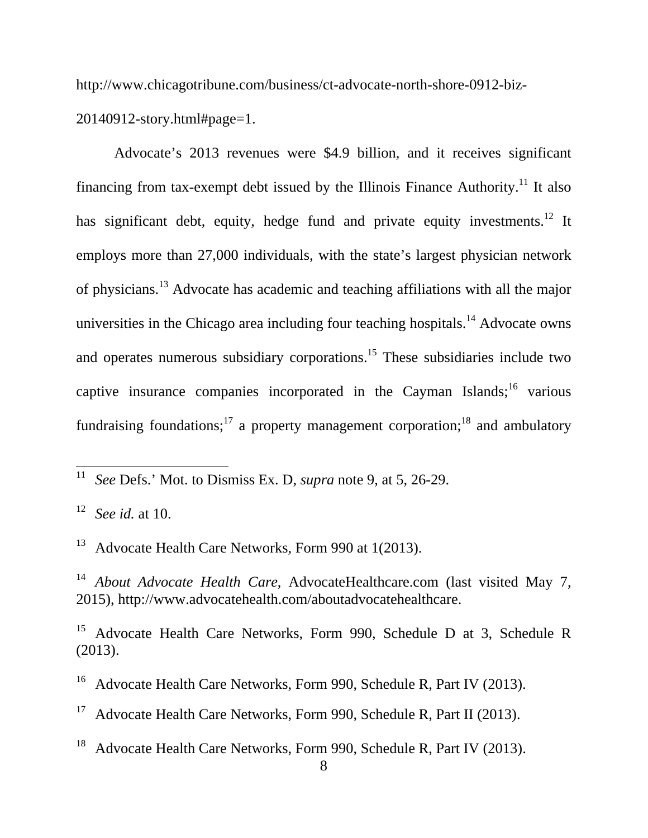http://www.chicagotribune.com/business/ct-advocate-north-shore-0912-biz-

20140912-story.html#page=1.

 Advocate's 2013 revenues were \$4.9 billion, and it receives significant financing from tax-exempt debt issued by the Illinois Finance Authority.<sup>11</sup> It also has significant debt, equity, hedge fund and private equity investments.<sup>12</sup> It employs more than 27,000 individuals, with the state's largest physician network of physicians.13 Advocate has academic and teaching affiliations with all the major universities in the Chicago area including four teaching hospitals.<sup>14</sup> Advocate owns and operates numerous subsidiary corporations.<sup>15</sup> These subsidiaries include two captive insurance companies incorporated in the Cayman Islands;<sup>16</sup> various fundraising foundations;<sup>17</sup> a property management corporation;<sup>18</sup> and ambulatory

<sup>13</sup> Advocate Health Care Networks, Form 990 at 1(2013).

<sup>14</sup> *About Advocate Health Care*, AdvocateHealthcare.com (last visited May 7, 2015), http://www.advocatehealth.com/aboutadvocatehealthcare.

<sup>15</sup> Advocate Health Care Networks, Form 990, Schedule D at 3, Schedule R (2013).

<sup>16</sup> Advocate Health Care Networks, Form 990, Schedule R, Part IV (2013).

Advocate Health Care Networks, Form 990, Schedule R, Part II (2013).

<sup>18</sup> Advocate Health Care Networks, Form 990, Schedule R, Part IV (2013).

<sup>11</sup> 11 *See* Defs.' Mot. to Dismiss Ex. D, *supra* note 9, at 5, 26-29.

<sup>12</sup> *See id.* at 10.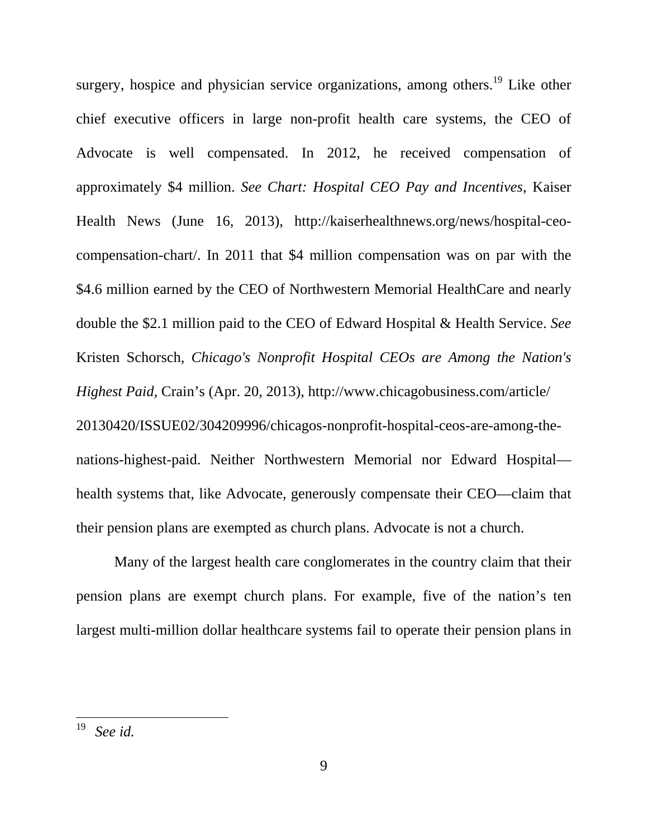surgery, hospice and physician service organizations, among others.<sup>19</sup> Like other chief executive officers in large non-profit health care systems, the CEO of Advocate is well compensated. In 2012, he received compensation of approximately \$4 million. *See Chart: Hospital CEO Pay and Incentives*, Kaiser Health News (June 16, 2013), http://kaiserhealthnews.org/news/hospital-ceocompensation-chart/. In 2011 that \$4 million compensation was on par with the \$4.6 million earned by the CEO of Northwestern Memorial HealthCare and nearly double the \$2.1 million paid to the CEO of Edward Hospital & Health Service. *See* Kristen Schorsch, *Chicago's Nonprofit Hospital CEOs are Among the Nation's Highest Paid,* Crain's (Apr. 20, 2013), http://www.chicagobusiness.com/article/ 20130420/ISSUE02/304209996/chicagos-nonprofit-hospital-ceos-are-among-thenations-highest-paid. Neither Northwestern Memorial nor Edward Hospital health systems that, like Advocate, generously compensate their CEO—claim that their pension plans are exempted as church plans. Advocate is not a church.

 Many of the largest health care conglomerates in the country claim that their pension plans are exempt church plans. For example, five of the nation's ten largest multi-million dollar healthcare systems fail to operate their pension plans in

<sup>19</sup> 19 *See id.*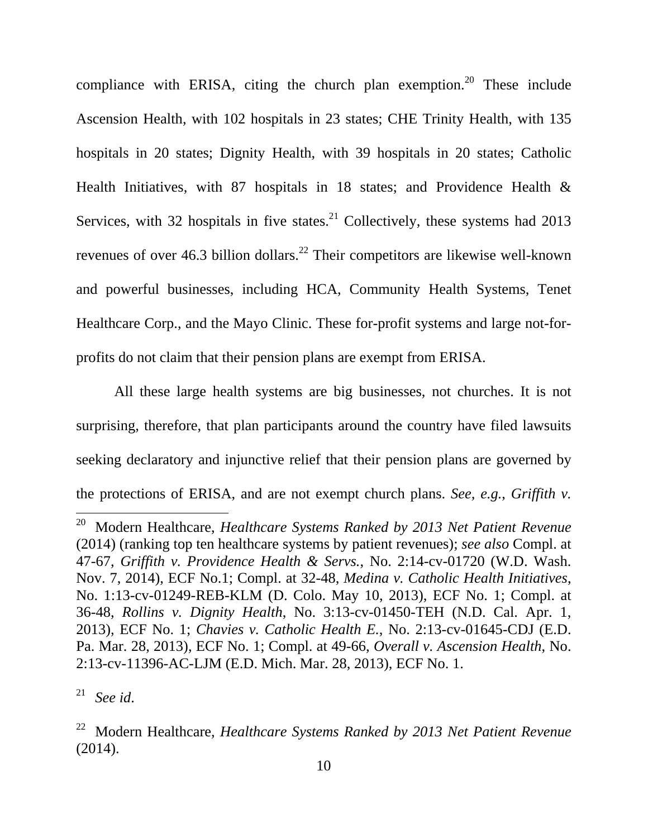compliance with ERISA, citing the church plan exemption.<sup>20</sup> These include Ascension Health, with 102 hospitals in 23 states; CHE Trinity Health, with 135 hospitals in 20 states; Dignity Health, with 39 hospitals in 20 states; Catholic Health Initiatives, with 87 hospitals in 18 states; and Providence Health & Services, with 32 hospitals in five states. $^{21}$  Collectively, these systems had 2013 revenues of over 46.3 billion dollars.<sup>22</sup> Their competitors are likewise well-known and powerful businesses, including HCA, Community Health Systems, Tenet Healthcare Corp., and the Mayo Clinic. These for-profit systems and large not-forprofits do not claim that their pension plans are exempt from ERISA.

 All these large health systems are big businesses, not churches. It is not surprising, therefore, that plan participants around the country have filed lawsuits seeking declaratory and injunctive relief that their pension plans are governed by the protections of ERISA, and are not exempt church plans. *See, e.g.*, *Griffith v.* 

21 *See id*.

<sup>20</sup> Modern Healthcare, *Healthcare Systems Ranked by 2013 Net Patient Revenue* (2014) (ranking top ten healthcare systems by patient revenues); *see also* Compl. at 47-67, *Griffith v. Providence Health & Servs.*, No. 2:14-cv-01720 (W.D. Wash. Nov. 7, 2014), ECF No.1; Compl. at 32-48, *Medina v. Catholic Health Initiatives*, No. 1:13-cv-01249-REB-KLM (D. Colo. May 10, 2013), ECF No. 1; Compl. at 36-48, *Rollins v. Dignity Health*, No. 3:13-cv-01450-TEH (N.D. Cal. Apr. 1, 2013), ECF No. 1; *Chavies v. Catholic Health E.*, No. 2:13-cv-01645-CDJ (E.D. Pa. Mar. 28, 2013), ECF No. 1; Compl. at 49-66, *Overall v. Ascension Health*, No. 2:13-cv-11396-AC-LJM (E.D. Mich. Mar. 28, 2013), ECF No. 1.

<sup>22</sup> Modern Healthcare, *Healthcare Systems Ranked by 2013 Net Patient Revenue* (2014).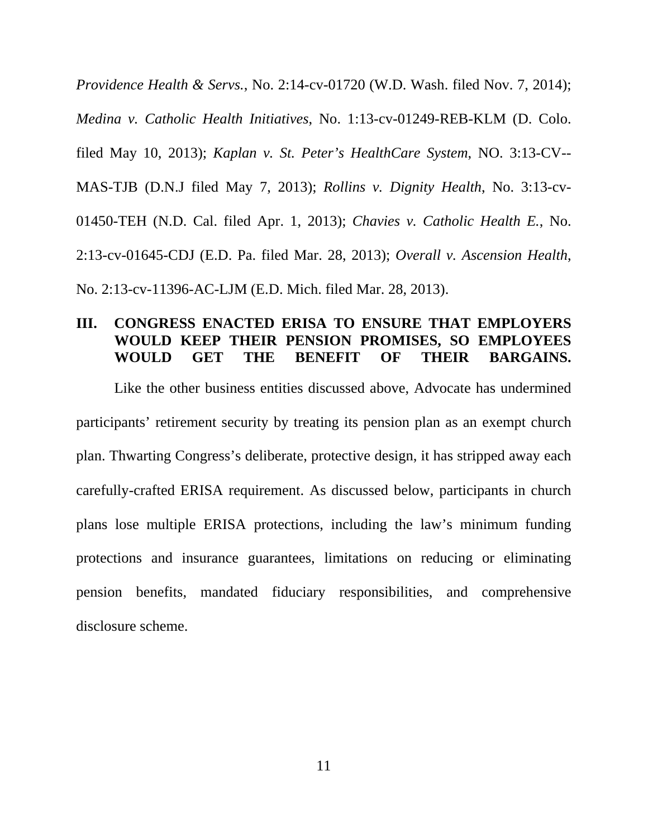*Providence Health & Servs.*, No. 2:14-cv-01720 (W.D. Wash. filed Nov. 7, 2014); *Medina v. Catholic Health Initiatives*, No. 1:13-cv-01249-REB-KLM (D. Colo. filed May 10, 2013); *Kaplan v. St. Peter's HealthCare System*, NO. 3:13-CV-- MAS-TJB (D.N.J filed May 7, 2013); *Rollins v. Dignity Health*, No. 3:13-cv-01450-TEH (N.D. Cal. filed Apr. 1, 2013); *Chavies v. Catholic Health E.*, No. 2:13-cv-01645-CDJ (E.D. Pa. filed Mar. 28, 2013); *Overall v. Ascension Health*, No. 2:13-cv-11396-AC-LJM (E.D. Mich. filed Mar. 28, 2013).

#### **III. CONGRESS ENACTED ERISA TO ENSURE THAT EMPLOYERS WOULD KEEP THEIR PENSION PROMISES, SO EMPLOYEES WOULD GET THE BENEFIT OF THEIR BARGAINS.**

 Like the other business entities discussed above, Advocate has undermined participants' retirement security by treating its pension plan as an exempt church plan. Thwarting Congress's deliberate, protective design, it has stripped away each carefully-crafted ERISA requirement. As discussed below, participants in church plans lose multiple ERISA protections, including the law's minimum funding protections and insurance guarantees, limitations on reducing or eliminating pension benefits, mandated fiduciary responsibilities, and comprehensive disclosure scheme.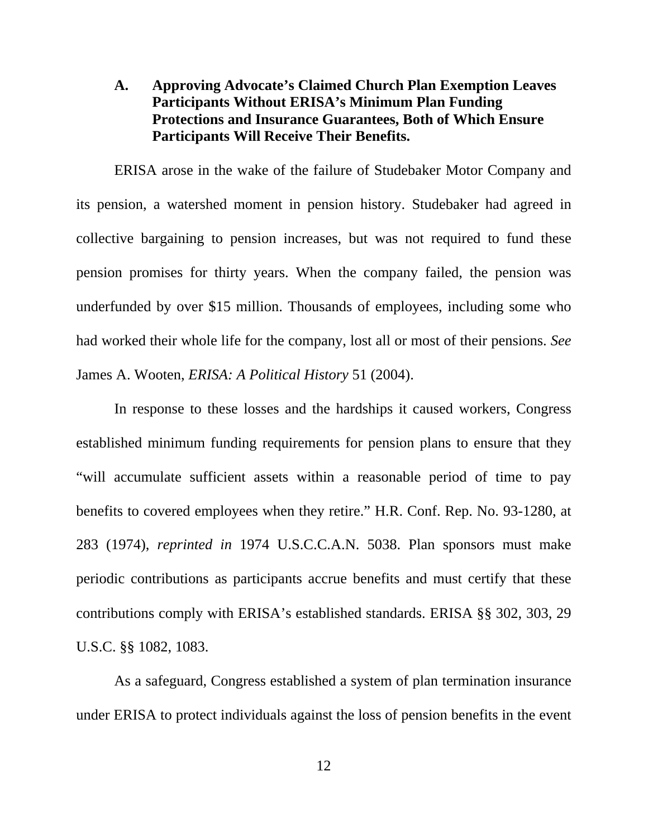## **A. Approving Advocate's Claimed Church Plan Exemption Leaves Participants Without ERISA's Minimum Plan Funding Protections and Insurance Guarantees, Both of Which Ensure Participants Will Receive Their Benefits.**

 ERISA arose in the wake of the failure of Studebaker Motor Company and its pension, a watershed moment in pension history. Studebaker had agreed in collective bargaining to pension increases, but was not required to fund these pension promises for thirty years. When the company failed, the pension was underfunded by over \$15 million. Thousands of employees, including some who had worked their whole life for the company, lost all or most of their pensions. *See* James A. Wooten, *ERISA: A Political History* 51 (2004).

 In response to these losses and the hardships it caused workers, Congress established minimum funding requirements for pension plans to ensure that they "will accumulate sufficient assets within a reasonable period of time to pay benefits to covered employees when they retire." H.R. Conf. Rep. No. 93-1280, at 283 (1974), *reprinted in* 1974 U.S.C.C.A.N. 5038. Plan sponsors must make periodic contributions as participants accrue benefits and must certify that these contributions comply with ERISA's established standards. ERISA §§ 302, 303, 29 U.S.C. §§ 1082, 1083.

 As a safeguard, Congress established a system of plan termination insurance under ERISA to protect individuals against the loss of pension benefits in the event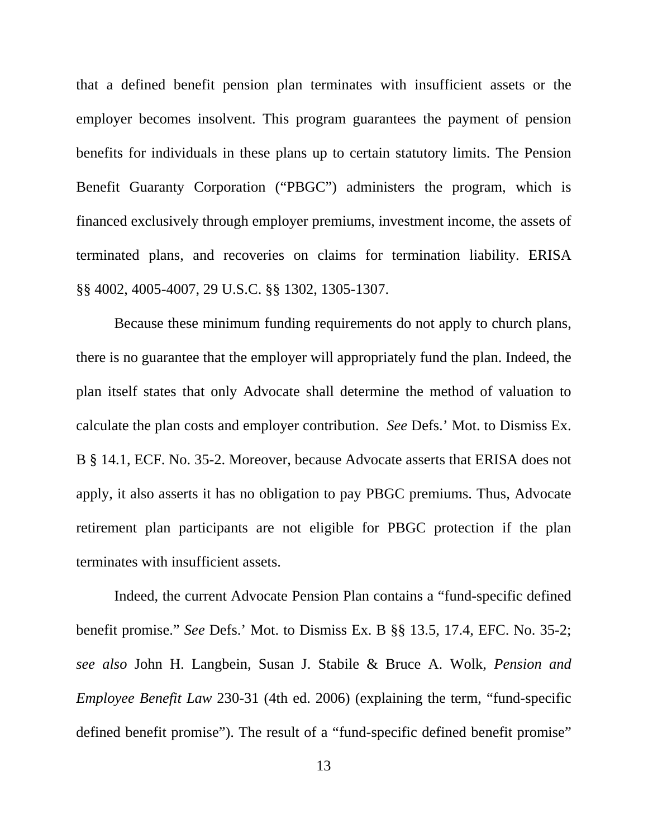that a defined benefit pension plan terminates with insufficient assets or the employer becomes insolvent. This program guarantees the payment of pension benefits for individuals in these plans up to certain statutory limits. The Pension Benefit Guaranty Corporation ("PBGC") administers the program, which is financed exclusively through employer premiums, investment income, the assets of terminated plans, and recoveries on claims for termination liability. ERISA §§ 4002, 4005-4007, 29 U.S.C. §§ 1302, 1305-1307.

 Because these minimum funding requirements do not apply to church plans, there is no guarantee that the employer will appropriately fund the plan. Indeed, the plan itself states that only Advocate shall determine the method of valuation to calculate the plan costs and employer contribution. *See* Defs.' Mot. to Dismiss Ex. B § 14.1, ECF. No. 35-2. Moreover, because Advocate asserts that ERISA does not apply, it also asserts it has no obligation to pay PBGC premiums. Thus, Advocate retirement plan participants are not eligible for PBGC protection if the plan terminates with insufficient assets.

 Indeed, the current Advocate Pension Plan contains a "fund-specific defined benefit promise." *See* Defs.' Mot. to Dismiss Ex. B §§ 13.5, 17.4, EFC. No. 35-2; *see also* John H. Langbein, Susan J. Stabile & Bruce A. Wolk, *Pension and Employee Benefit Law* 230-31 (4th ed. 2006) (explaining the term, "fund-specific defined benefit promise"). The result of a "fund-specific defined benefit promise"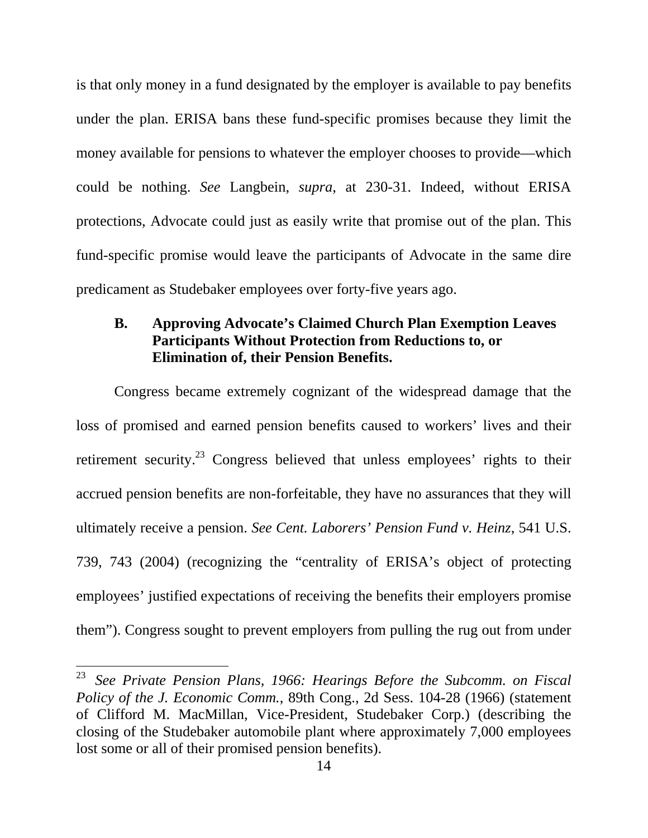is that only money in a fund designated by the employer is available to pay benefits under the plan. ERISA bans these fund-specific promises because they limit the money available for pensions to whatever the employer chooses to provide—which could be nothing. *See* Langbein, *supra*, at 230-31. Indeed, without ERISA protections, Advocate could just as easily write that promise out of the plan. This fund-specific promise would leave the participants of Advocate in the same dire predicament as Studebaker employees over forty-five years ago.

## **B. Approving Advocate's Claimed Church Plan Exemption Leaves Participants Without Protection from Reductions to, or Elimination of, their Pension Benefits.**

 Congress became extremely cognizant of the widespread damage that the loss of promised and earned pension benefits caused to workers' lives and their retirement security.<sup>23</sup> Congress believed that unless employees' rights to their accrued pension benefits are non-forfeitable, they have no assurances that they will ultimately receive a pension. *See Cent. Laborers' Pension Fund v. Heinz*, 541 U.S. 739, 743 (2004) (recognizing the "centrality of ERISA's object of protecting employees' justified expectations of receiving the benefits their employers promise them"). Congress sought to prevent employers from pulling the rug out from under

<sup>23</sup> *See Private Pension Plans, 1966: Hearings Before the Subcomm. on Fiscal Policy of the J. Economic Comm.*, 89th Cong., 2d Sess. 104-28 (1966) (statement of Clifford M. MacMillan, Vice-President, Studebaker Corp.) (describing the closing of the Studebaker automobile plant where approximately 7,000 employees lost some or all of their promised pension benefits).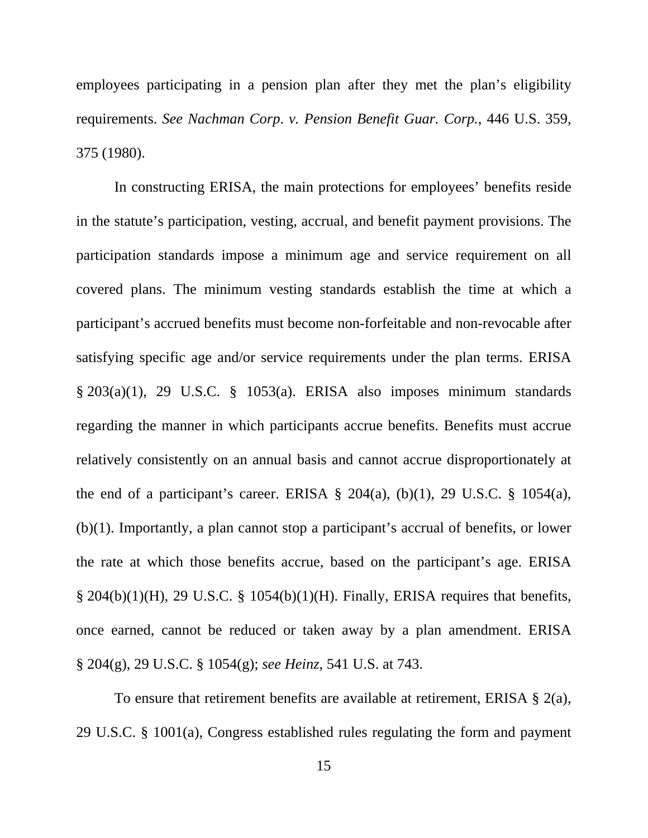employees participating in a pension plan after they met the plan's eligibility requirements. *See Nachman Corp*. *v. Pension Benefit Guar. Corp.*, 446 U.S. 359, 375 (1980).

 In constructing ERISA, the main protections for employees' benefits reside in the statute's participation, vesting, accrual, and benefit payment provisions. The participation standards impose a minimum age and service requirement on all covered plans. The minimum vesting standards establish the time at which a participant's accrued benefits must become non-forfeitable and non-revocable after satisfying specific age and/or service requirements under the plan terms. ERISA § 203(a)(1), 29 U.S.C. § 1053(a). ERISA also imposes minimum standards regarding the manner in which participants accrue benefits. Benefits must accrue relatively consistently on an annual basis and cannot accrue disproportionately at the end of a participant's career. ERISA  $\S$  204(a), (b)(1), 29 U.S.C.  $\S$  1054(a), (b)(1). Importantly, a plan cannot stop a participant's accrual of benefits, or lower the rate at which those benefits accrue, based on the participant's age. ERISA  $\S$  204(b)(1)(H), 29 U.S.C.  $\S$  1054(b)(1)(H). Finally, ERISA requires that benefits, once earned, cannot be reduced or taken away by a plan amendment. ERISA § 204(g), 29 U.S.C. § 1054(g); *see Heinz*, 541 U.S. at 743.

 To ensure that retirement benefits are available at retirement, ERISA § 2(a), 29 U.S.C. § 1001(a), Congress established rules regulating the form and payment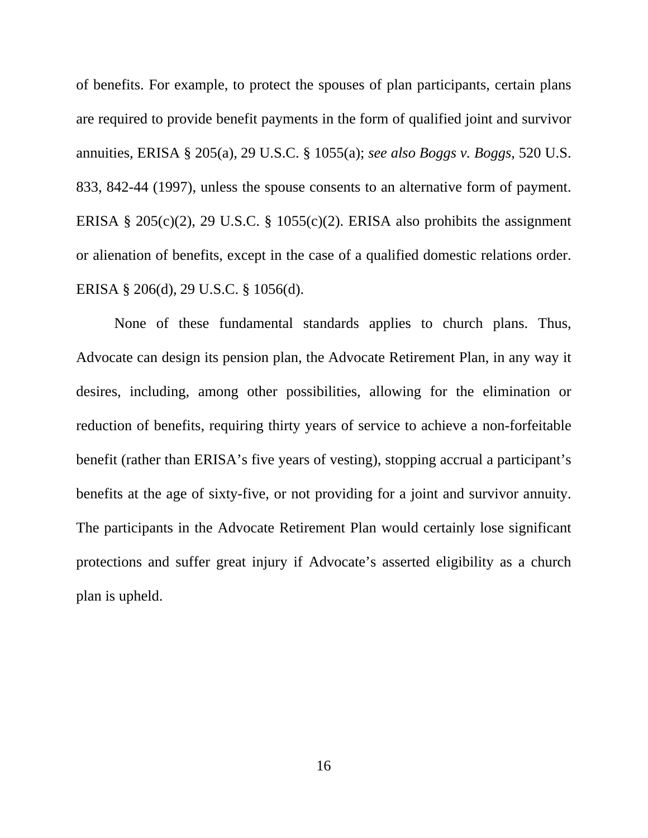of benefits. For example, to protect the spouses of plan participants, certain plans are required to provide benefit payments in the form of qualified joint and survivor annuities, ERISA § 205(a), 29 U.S.C. § 1055(a); *see also Boggs v. Boggs*, 520 U.S. 833, 842-44 (1997), unless the spouse consents to an alternative form of payment. ERISA § 205(c)(2), 29 U.S.C. § 1055(c)(2). ERISA also prohibits the assignment or alienation of benefits, except in the case of a qualified domestic relations order. ERISA § 206(d), 29 U.S.C. § 1056(d).

 None of these fundamental standards applies to church plans. Thus, Advocate can design its pension plan, the Advocate Retirement Plan, in any way it desires, including, among other possibilities, allowing for the elimination or reduction of benefits, requiring thirty years of service to achieve a non-forfeitable benefit (rather than ERISA's five years of vesting), stopping accrual a participant's benefits at the age of sixty-five, or not providing for a joint and survivor annuity. The participants in the Advocate Retirement Plan would certainly lose significant protections and suffer great injury if Advocate's asserted eligibility as a church plan is upheld.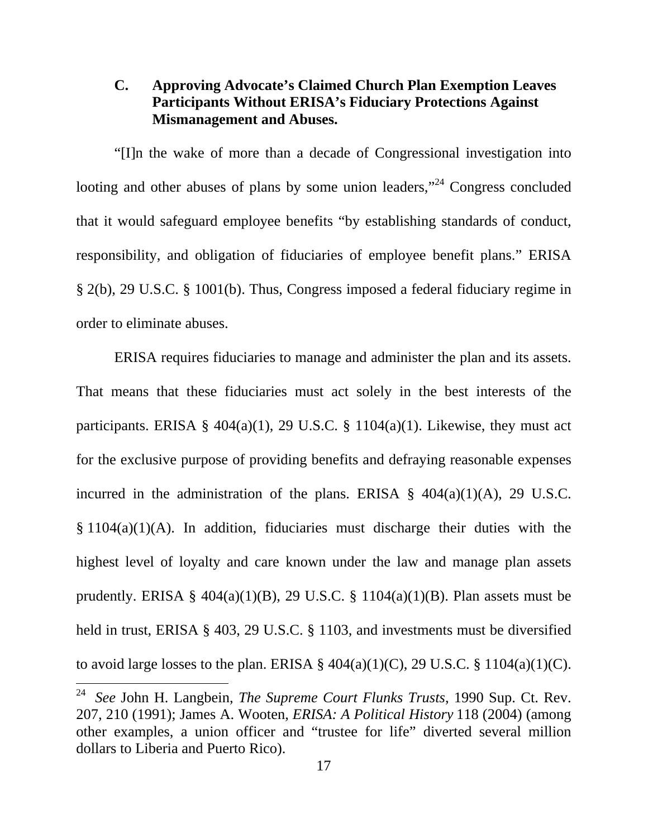## **C. Approving Advocate's Claimed Church Plan Exemption Leaves Participants Without ERISA's Fiduciary Protections Against Mismanagement and Abuses.**

 "[I]n the wake of more than a decade of Congressional investigation into looting and other abuses of plans by some union leaders,"<sup>24</sup> Congress concluded that it would safeguard employee benefits "by establishing standards of conduct, responsibility, and obligation of fiduciaries of employee benefit plans." ERISA § 2(b), 29 U.S.C. § 1001(b). Thus, Congress imposed a federal fiduciary regime in order to eliminate abuses.

 ERISA requires fiduciaries to manage and administer the plan and its assets. That means that these fiduciaries must act solely in the best interests of the participants. ERISA §  $404(a)(1)$ , 29 U.S.C. § 1104(a)(1). Likewise, they must act for the exclusive purpose of providing benefits and defraying reasonable expenses incurred in the administration of the plans. ERISA  $\S$  404(a)(1)(A), 29 U.S.C.  $§ 1104(a)(1)(A)$ . In addition, fiduciaries must discharge their duties with the highest level of loyalty and care known under the law and manage plan assets prudently. ERISA §  $404(a)(1)(B)$ , 29 U.S.C. § 1104(a)(1)(B). Plan assets must be held in trust, ERISA § 403, 29 U.S.C. § 1103, and investments must be diversified to avoid large losses to the plan. ERISA  $\S$  404(a)(1)(C), 29 U.S.C.  $\S$  1104(a)(1)(C).

 $24\,$ 24 *See* John H. Langbein, *The Supreme Court Flunks Trusts*, 1990 Sup. Ct. Rev. 207, 210 (1991); James A. Wooten, *ERISA: A Political History* 118 (2004) (among other examples, a union officer and "trustee for life" diverted several million dollars to Liberia and Puerto Rico).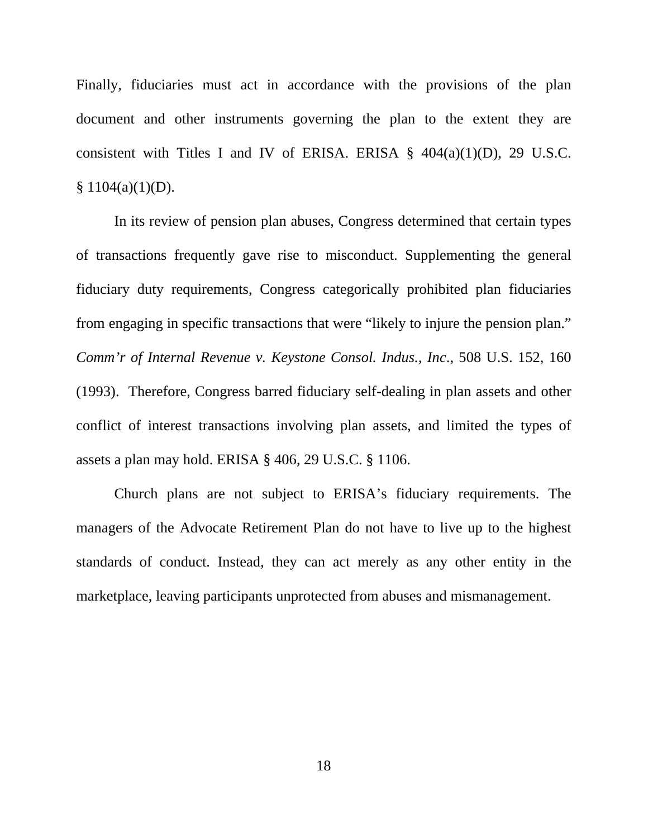Finally, fiduciaries must act in accordance with the provisions of the plan document and other instruments governing the plan to the extent they are consistent with Titles I and IV of ERISA. ERISA  $\S$  404(a)(1)(D), 29 U.S.C.  $$1104(a)(1)(D).$ 

 In its review of pension plan abuses, Congress determined that certain types of transactions frequently gave rise to misconduct. Supplementing the general fiduciary duty requirements, Congress categorically prohibited plan fiduciaries from engaging in specific transactions that were "likely to injure the pension plan." *Comm'r of Internal Revenue v. Keystone Consol. Indus., Inc*., 508 U.S. 152, 160 (1993). Therefore, Congress barred fiduciary self-dealing in plan assets and other conflict of interest transactions involving plan assets, and limited the types of assets a plan may hold. ERISA § 406, 29 U.S.C. § 1106.

 Church plans are not subject to ERISA's fiduciary requirements. The managers of the Advocate Retirement Plan do not have to live up to the highest standards of conduct. Instead, they can act merely as any other entity in the marketplace, leaving participants unprotected from abuses and mismanagement.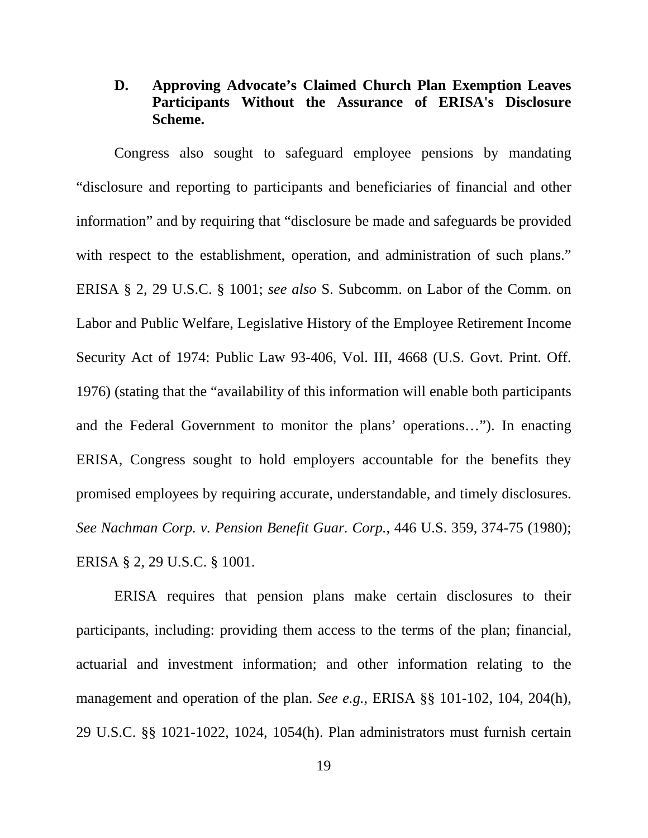## **D. Approving Advocate's Claimed Church Plan Exemption Leaves Participants Without the Assurance of ERISA's Disclosure Scheme.**

 Congress also sought to safeguard employee pensions by mandating "disclosure and reporting to participants and beneficiaries of financial and other information" and by requiring that "disclosure be made and safeguards be provided with respect to the establishment, operation, and administration of such plans." ERISA § 2, 29 U.S.C. § 1001; *see also* S. Subcomm. on Labor of the Comm. on Labor and Public Welfare, Legislative History of the Employee Retirement Income Security Act of 1974: Public Law 93-406, Vol. III, 4668 (U.S. Govt. Print. Off. 1976) (stating that the "availability of this information will enable both participants and the Federal Government to monitor the plans' operations…"). In enacting ERISA, Congress sought to hold employers accountable for the benefits they promised employees by requiring accurate, understandable, and timely disclosures. *See Nachman Corp. v. Pension Benefit Guar. Corp.*, 446 U.S. 359, 374-75 (1980); ERISA § 2, 29 U.S.C. § 1001.

 ERISA requires that pension plans make certain disclosures to their participants, including: providing them access to the terms of the plan; financial, actuarial and investment information; and other information relating to the management and operation of the plan. *See e.g.*, ERISA §§ 101-102, 104, 204(h), 29 U.S.C. §§ 1021-1022, 1024, 1054(h). Plan administrators must furnish certain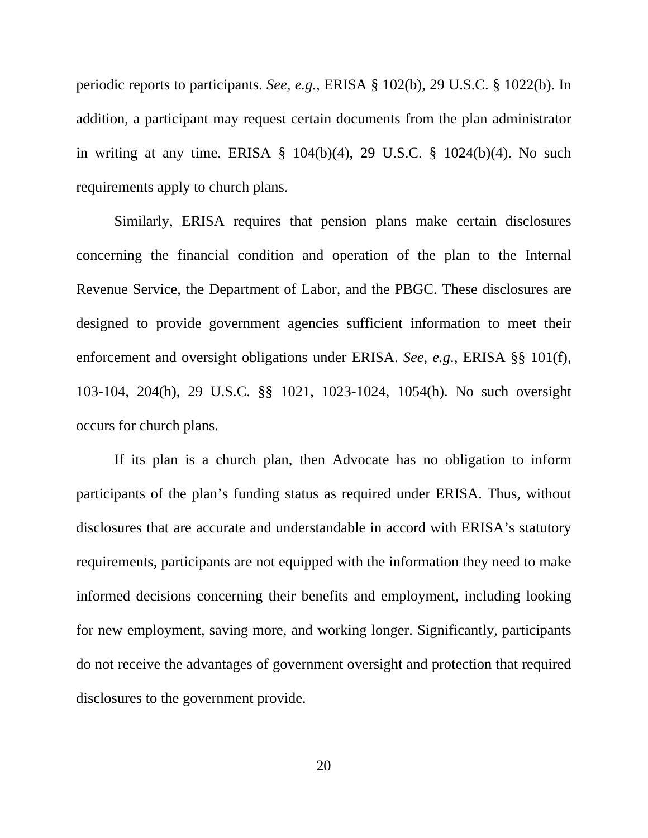periodic reports to participants. *See, e.g.*, ERISA § 102(b), 29 U.S.C. § 1022(b). In addition, a participant may request certain documents from the plan administrator in writing at any time. ERISA § 104(b)(4), 29 U.S.C. § 1024(b)(4). No such requirements apply to church plans.

 Similarly, ERISA requires that pension plans make certain disclosures concerning the financial condition and operation of the plan to the Internal Revenue Service, the Department of Labor, and the PBGC. These disclosures are designed to provide government agencies sufficient information to meet their enforcement and oversight obligations under ERISA. *See, e.g*., ERISA §§ 101(f), 103-104, 204(h), 29 U.S.C. §§ 1021, 1023-1024, 1054(h). No such oversight occurs for church plans.

 If its plan is a church plan, then Advocate has no obligation to inform participants of the plan's funding status as required under ERISA. Thus, without disclosures that are accurate and understandable in accord with ERISA's statutory requirements, participants are not equipped with the information they need to make informed decisions concerning their benefits and employment, including looking for new employment, saving more, and working longer. Significantly, participants do not receive the advantages of government oversight and protection that required disclosures to the government provide.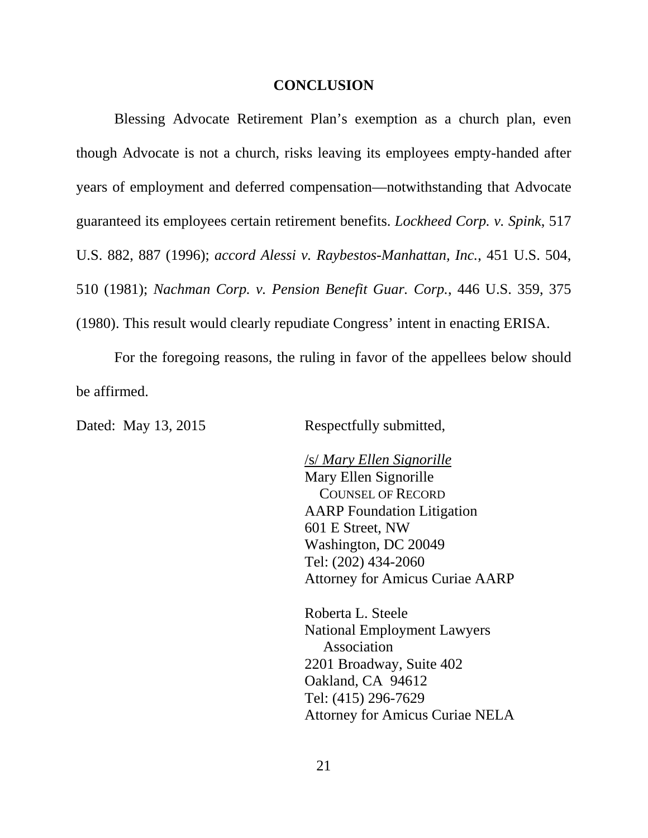#### **CONCLUSION**

 Blessing Advocate Retirement Plan's exemption as a church plan, even though Advocate is not a church, risks leaving its employees empty-handed after years of employment and deferred compensation—notwithstanding that Advocate guaranteed its employees certain retirement benefits. *Lockheed Corp. v. Spink*, 517 U.S. 882, 887 (1996); *accord Alessi v. Raybestos-Manhattan, Inc.*, 451 U.S. 504, 510 (1981); *Nachman Corp. v. Pension Benefit Guar. Corp.*, 446 U.S. 359, 375 (1980). This result would clearly repudiate Congress' intent in enacting ERISA.

 For the foregoing reasons, the ruling in favor of the appellees below should be affirmed.

Dated: May 13, 2015 Respectfully submitted,

 /s/ *Mary Ellen Signorille* Mary Ellen Signorille COUNSEL OF RECORD AARP Foundation Litigation 601 E Street, NW Washington, DC 20049 Tel: (202) 434-2060 Attorney for Amicus Curiae AARP

Roberta L. Steele National Employment Lawyers Association 2201 Broadway, Suite 402 Oakland, CA 94612 Tel: (415) 296-7629 Attorney for Amicus Curiae NELA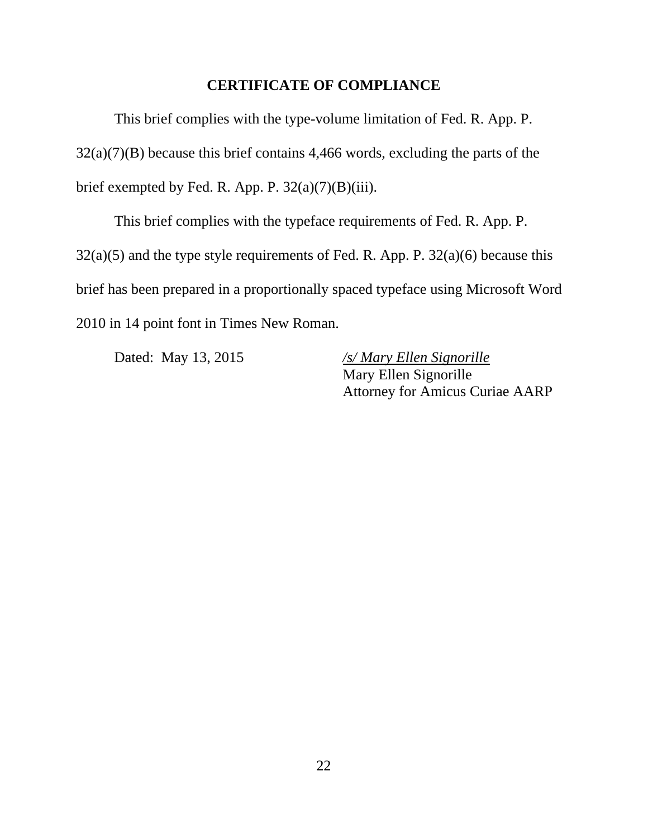#### **CERTIFICATE OF COMPLIANCE**

 This brief complies with the type-volume limitation of Fed. R. App. P.  $32(a)(7)(B)$  because this brief contains 4,466 words, excluding the parts of the brief exempted by Fed. R. App. P.  $32(a)(7)(B)(iii)$ .

 This brief complies with the typeface requirements of Fed. R. App. P.  $32(a)(5)$  and the type style requirements of Fed. R. App. P.  $32(a)(6)$  because this brief has been prepared in a proportionally spaced typeface using Microsoft Word 2010 in 14 point font in Times New Roman.

 Dated: May 13, 2015 */s/ Mary Ellen Signorille*  Mary Ellen Signorille Attorney for Amicus Curiae AARP